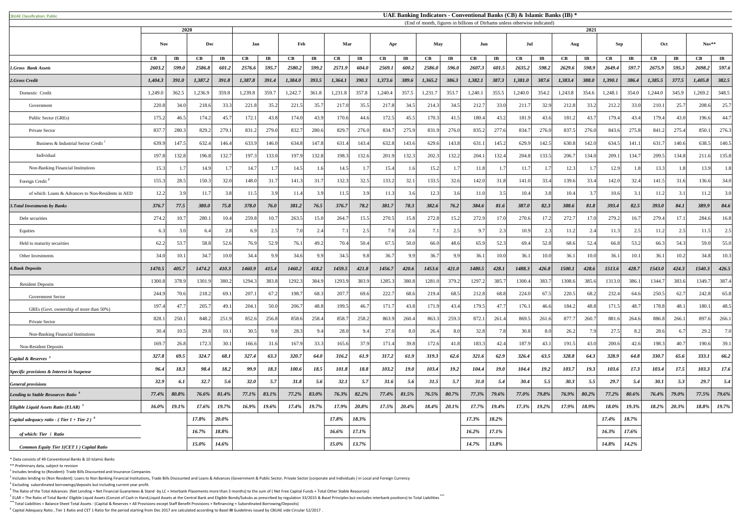|  |  | <b>CBUAE Classification: Public</b> |  |
|--|--|-------------------------------------|--|
|--|--|-------------------------------------|--|

<sup>5</sup> ELAR = The Ratio of Total Banks' Eligible Liquid Assets (Consist of Cash in Hand,Liquid Assets at the Central Bank and Eligible Bonds/Sukuks as prescribed by regulation 33/2015 & Basel Principles but excludes interbank **\*\*\*** Total Liabilities = Balance Sheet Total Assets - (Capital & Reserves + All Provisions except Staff Benefit Provisions + Refinancing + Subordinated Borrowing/Deposits)

<sup>6</sup> Capital Adequacy Ratio, Tier 1 Ratio and CET 1 Ratio for the period starting from Dec 2017 are calculated according to Basel III Guidelines issued by CBUAE vide Circular 52/2017.

|                                                       |               | (End of month, figures in billions of Dirhams unless otherwise indicated)<br>2020 |              |                        |         |                        |                        |                         |                        |                        |                      |                        |                        |                       |          | 2021                   |          |                       |                        |                         |               |                        |               |                                  |         |                        |     |  |         |  |
|-------------------------------------------------------|---------------|-----------------------------------------------------------------------------------|--------------|------------------------|---------|------------------------|------------------------|-------------------------|------------------------|------------------------|----------------------|------------------------|------------------------|-----------------------|----------|------------------------|----------|-----------------------|------------------------|-------------------------|---------------|------------------------|---------------|----------------------------------|---------|------------------------|-----|--|---------|--|
|                                                       | <b>Nov</b>    |                                                                                   |              |                        |         |                        | Dec                    |                         | Jan                    |                        | Feb                  |                        | Mar                    |                       | Apr      |                        | May      |                       | Jun                    |                         | Jul           |                        | Aug           |                                  | Sep     |                        | Oct |  | $Nov**$ |  |
|                                                       | $\mathbf{CB}$ | $\mathbf{I}\mathbf{B}$                                                            | CB           | $\mathbf{I}\mathbf{B}$ | CB      | $\mathbf{I}\mathbf{B}$ | $\mathbf{C}\mathbf{B}$ | $\mathbf{I} \mathbf{B}$ | $\mathbf{C}\mathbf{B}$ | $\mathbf{I}\mathbf{B}$ | $\mathbf C\mathbf B$ | $\mathbf{I}\mathbf{B}$ | $\mathbf{C}\mathbf{B}$ | $\mathbf{I}$ <b>B</b> | CB       | $\mathbf{I}\mathbf{B}$ | CB       | $\mathbf{I}$ <b>B</b> | $\mathbf{C}\mathbf{B}$ | $\mathbf{I} \mathbf{B}$ | $\mathbf{CB}$ | $\mathbf{I}\mathbf{B}$ | $\mathbf{CB}$ | $\mathbf{I}\mathbf{B}$           | CB      | $\mathbf{I}\mathbf{B}$ |     |  |         |  |
| 1.Gross Bank Assets                                   | 2603.2        | 599.0                                                                             | 2586.8       | 601.2                  | 2576.6  | 595.7                  | 2580.2                 | 599.2                   | 2571.9                 | 604.0                  | 2569.1               | 600.2                  | 2586.0                 | 596.0                 | 2607.3   | 601.5                  | 2635.2   | 598.2                 | 2629.6                 | 598.9                   | 2649.4        | 597.7                  | 2675.9        | 595.3                            | 2698.2  | 597.6                  |     |  |         |  |
| 2.Gross Credit                                        | 1,404.3       | 391.0                                                                             | 1,387.2      | 391.8                  | 1,387.8 | 391.4                  | 1,384.0                | 393.5                   | 1,364.1                | 390.3                  | 1,373.6              | 389.6                  | 1,365.2                | 386.3                 | 1,382.1  | 387.3                  | 1,381.0  | 387.6                 | 1,383.4                | <b>388.0</b>            | 1,390.1       | 386.4                  | 1,385.5       | 377.5                            | 1,405.8 | 382.5                  |     |  |         |  |
| Domestic Credit                                       | 1,249.0       | 362.5                                                                             | 1,236.9      | 359.8                  | 1,239.8 | 359.7                  | 1,242.7                | 361.8                   | 1,231.8                | 357.8                  | 1,240.4              | 357.5                  | 1,231.7                | 353.7                 | 1,240.1  | 355.5                  | 1,240.0  | 354.2                 | 1,243.8                | 354.6                   | 1,248.1       | 354.0                  | 1,244.0       | 345.9                            | 1,269.2 | 348.5                  |     |  |         |  |
| Government                                            | 220.8         | 34.0                                                                              | 218.6        | 33.3                   | 221.8   | 35.2                   | 221.5                  | 35.7                    | 217.0                  | 35.5                   | 217.8                | 34.5                   | 214.3                  | 34.5                  | 212.7    | 33.0                   | 211.7    | 32.9                  | 212.8                  | 33.2                    | 212.2         | 33.0                   | 210.1         | 25.7                             | 208.6   | 25.7                   |     |  |         |  |
| Public Sector (GREs)                                  | 175.2         | 46.3                                                                              | 174.2        | 45.7                   | 172.1   | 43.8                   | 174.0                  | 43.9                    | 170.6                  | 44.6                   | 172.5                | 45.5                   | 170.3                  | 41.5                  | 180.4    | 43.2                   | 181.9    | 43.6                  | 181.2                  | 43.7                    | 179.4         | 43.4                   | 179.4         | 43.0                             | 196.6   | 44.7                   |     |  |         |  |
| Private Sector                                        | 837.7         | 280.                                                                              | 829.2        | 279.1                  | 831.2   | 279.0                  | 832.7                  | 280.6                   | 829.7                  | 276.0                  | 834.7                | 275.9                  | 831.9                  | 276.0                 | 835.2    | 277.6                  | 834.7    | 276.0                 | 837.5                  | 276.0                   | 843.6         | 275.8                  | 841.2         | 275.4                            | 850.1   | 276.3                  |     |  |         |  |
| Business & Industrial Sector Credit                   | 639.9         | 147.5                                                                             | 632.4        | 146.4                  | 633.9   | 146.0                  | 634.8                  | 147.8                   | 631.4                  | 143.4                  | 632.8                | 143.6                  | 629.6                  | 143.8                 | 631.1    | 145.2                  | 629.9    | 142.5                 | 630.8                  | 142.0                   | 634.5         | 141.1                  | 631.7         | 140.6                            | 638.5   | 140.5                  |     |  |         |  |
| Individual                                            | 197.8         | 132.8                                                                             | 196.8        | 132.7                  | 197.3   | 133.0                  | 197.9                  | 132.8                   | 198.3                  | 132.6                  | 201.9                | 132.3                  | 202.3                  | 132.2                 | 204.1    | 132.4                  | 204.8    | 133.5                 | 206.7                  | 134.0                   | 209.1         | 134.7                  | 209.5         | 134.8                            | 211.6   | 135.8                  |     |  |         |  |
| Non-Banking Financial Institutions                    | 15.3          |                                                                                   | 14.9         |                        | 14.7    |                        | 14.5                   |                         | 14.5                   |                        | 15.4                 | 1.6                    | 15.2                   |                       | 11.8     |                        | 11.7     | 1.7                   | 12.3                   |                         | 12.9          | 1.81                   | 13.3          |                                  | 13.9    | 1.8                    |     |  |         |  |
| Foreign Credit <sup>2</sup>                           | 155.3         | 28.5                                                                              | 150.3        | 32.0                   | 148.0   | 31.7                   | 141.3                  | 31.7                    | 132.3                  | 32.5                   | 133.2                | 32.1                   | 133.5                  | 32.6                  | 142.0    | 31.8                   | 141.0    | 33.4                  | 139.6                  | 33.4                    | 142.0         | 32.4                   | 141.5         | 31.6                             | 136.6   | 34.0                   |     |  |         |  |
| of which: Loans & Advances to Non-Residents in AED    | 12.2          | 3.9                                                                               | 11.7         | 3.8                    | 11.5    | 3.9                    | 11.4                   | 3.9                     | 11.5                   | 3.9                    | 11.3                 | 3.6                    | 12.3                   | 3.6                   | 11.0     | 3.5                    | 10.4     | 3.8                   | 10.4                   | 3.7                     | 10.6          | 3.1                    | 11.2          | 3.1                              | 11.2    | 3.0                    |     |  |         |  |
| 3. Total Investments by Banks                         | 376.7         | 77.5                                                                              | <b>380.0</b> | 75.8                   | 378.0   | 76.0                   | 381.2                  | 76.5                    | 376.7                  | 78.2                   | 381.7                | 78.3                   | 382.6                  | 76.2                  | 384.6    | 81.6                   | 387.0    | 82.3                  | 388.6                  | 81.8                    | 393.4         | 82.5                   | <b>393.0</b>  | 84.1                             | 389.9   | 84.6                   |     |  |         |  |
| Debt securities                                       | 274.2         | 10.                                                                               | 280.         | 10.4                   | 259.8   | 10.7                   | 263.5                  | 15.0                    | 264.                   | 15.5                   | 270.5                | 15.8                   | 272.8                  | 15.2                  | 272.9    |                        | 270.6    | 17.2                  | 272.7                  | 17.0                    | 279.2         | 16.7                   | 279.4         | 17.                              | 284.6   | 16.8                   |     |  |         |  |
| Equities                                              | 6.3           |                                                                                   | 6.4          | 2.8                    | 6.9     | 2.5                    | 7.0                    |                         | 7.                     | $\gamma$ 5             | 7 Q                  | 2.6                    | 7.1                    | 2.5                   | 9.7      |                        | 10.9     | 2.3                   | 11.2                   | 2.4                     | 11.           | 25                     | 11.2          | 2.5                              | 11.5    | 2.5                    |     |  |         |  |
| Held to maturity securities                           | 62.2          | 53.                                                                               | 58.8         | 52.6                   | 76.9    | 52.9                   | 76.1                   | 49.2                    | 70.4                   | 50.4                   | 67.5                 | 50.0                   | 66.0                   | 48.6                  | 65.9     | 52.3                   | 69.4     | 52.8                  | 68.6                   | 52.4                    | 66.8          | 53.2                   | 66.3          | 54.3                             | 59.0    | 55.0                   |     |  |         |  |
| Other Investments                                     | 34.0          | 10.                                                                               | 34.7         | 10.0                   | 34.4    | QQ                     | 34.6                   |                         | 34.5                   | 98                     | 36.7                 | QQ                     | 36.7                   | 9.9                   | 36.1     | 10.0                   | 36.1     |                       | 36.1                   | 10.0                    | 36.1          | 10.                    | 36.1          | 10.2                             | 34.8    | 10.3                   |     |  |         |  |
| <b>4. Bank Deposits</b>                               | 1470.5        | 405.7                                                                             | 1474.2       | 410.3                  | 1460.9  | 415.4                  | 1460.2                 | 418.2                   | 1459.5                 | 421.8                  | 1456.7               | 420.6                  | 1453.6                 | 421.0                 | 1480.5   | 428.1                  | 1488.3   | 426.8                 | 1500.1                 | 428.6                   | 1513.6        | 428.7                  | 1543.0        | 424.3                            | 1540.3  | 426.5                  |     |  |         |  |
| <b>Resident Deposits</b>                              | 1300.8        | 378.9                                                                             | 1301.9       | 380.2                  | 1294.3  | 383.8                  | 1292.3                 | 384.9                   | 1293.9                 | 383.9                  | 1285.3               | 380.8                  | 1281.                  | 379.2                 | 1297.2   | 385.                   | 1300.4   | 383.7                 | 1308.6                 | 385.6                   | 1313.0        | 386.                   | 1344.7        | 383.6                            | 1349.7  | 387.4                  |     |  |         |  |
| <b>Government Sector</b>                              | 244.9         | 70.6                                                                              | 218.2        | 69.1                   | 207.1   | 67.2                   | 198.7                  | 68.3                    | 207.7                  | 69.6                   | 222.7                | 68.6                   | 219.4                  | 68.5                  | 212.8    | 68.8                   | 224.0    | 67.5                  | 220.5                  | 68.2                    | 232.4         | 64.6                   | 250.5         | 62.7                             | 242.8   | 65.8                   |     |  |         |  |
| GREs (Govt. ownership of more than 50%)               | 197.4         | 47                                                                                | 205.7        | 49.1                   | 204.1   | 50.0                   | 206.7                  | 48.8                    | 199.5                  | 46.                    | 171.7                | 43.8                   | 171.9                  | 43.4                  | 179.5    | 47.                    | 176.1    | 46.6                  | 184.2                  | 48.8                    | 171.5         | 48.                    | 178.8         | 48.1                             | 180.1   | 48.5                   |     |  |         |  |
| <b>Private Sector</b>                                 | 828.1         | 250.                                                                              | 848.2        | 251.9                  | 852.6   | 256.8                  | 858.6                  | 258.4                   | 858.                   | 258.2                  | 863.9                | 260.4                  | 863.                   | 259.3                 | 872.     | 261                    | 869.5    | 261.6                 | 877.                   | 260.7                   | 881.          | 264.6                  | 886.8         | 266.1                            | 897.    | 266.1                  |     |  |         |  |
| Non-Banking Financial Institutions                    | 30.4          | 10.3                                                                              | 29.8         | 10.1                   | 30.5    | 9.8                    | 28.3                   |                         | 28.0                   |                        | 27.0                 | 8.0                    | 26.4                   | 8.0                   | 32.8     |                        | 30.8     | 8.0                   | 26.2                   | 7.9                     | 27.5          |                        | 28.6          |                                  | 29.2    | 7.0                    |     |  |         |  |
| <b>Non-Resident Deposits</b>                          | 169.7         | 26.8                                                                              | 172.3        | 30.1                   | 166.6   | 31.6                   | 167.9                  | 33.3                    | 165.6                  | 37.9                   | 171.4                | 39.8                   | 172.6                  | 41.8                  | 183.3    | 42.4                   | 187.9    | 43.1                  | 191.5                  | 43.0                    | 200.6         | 42.6                   | 198.3         | 40.7                             | 190.6   | 39.1                   |     |  |         |  |
| Capital & Reserves <sup>3</sup>                       | 327.8         | 69.5                                                                              | 324.7        | 68.1                   | 327.4   | 63.3                   | 320.7                  | 64.0                    | 316.2                  | 61.9                   | 317.2                | 61.9                   | 319.3                  | 62.6                  | 321.6    | 62.9                   | 326.4    | 63.5                  | 328.8                  | 64.3                    | 328.9         | 64.8                   | 330.7         | 65.6                             | 333.1   | 66.2                   |     |  |         |  |
| <b>Specific provisions &amp; Interest in Suspense</b> | 96.4          | 18.3                                                                              | 98.4         | 18.2                   | 99.9    | 18.3                   | 100.6                  | 18.5                    | 101.8                  | 18.8                   | 103.2                | 19.0                   | 103.4                  | 19.2                  | 104.4    | <b>19.0</b>            | 104.4    | 19.2                  | 103.7                  | <b>19.3</b>             | 103.6         | 17.3                   | 103.4         | 17.5                             | 103.3   | 17.6                   |     |  |         |  |
| <b>General provisions</b>                             | 32.9          | 6.1                                                                               | 32.7         | 5.6                    | 32.0    | 5.7                    | 31.8                   | 5.6                     | 32.1                   | 5.7                    | 31.6                 | 5.6                    | 31.5                   | 5.7                   | 31.0     | 5.4                    | 30.4     | 5.5                   | 30.3                   | 5.5                     | 29.7          | 5.4                    | 30.1          | 5.3                              | 29.7    | 5.4                    |     |  |         |  |
| Lending to Stable Resources Ratio <sup>4</sup>        | 77.4%         | 80.8%                                                                             | 76.6%        | 81.4%                  | 77.1%   | 83.1%                  | 77.2%                  | 83.0%                   | 76.3%                  | 82.2%                  | 77.4%                | 81.5%                  | 76.5%                  | 80.7%                 | 77.3%    | 79.6%                  | 77.0%    | 79.8%                 | 76.9%                  | 80.2%                   | 77.2%         | 80.6%                  | 76.4%         | 79.0%                            | 77.5%   | 79.6%                  |     |  |         |  |
| Eligible Liquid Assets Ratio (ELAR)                   |               | $16.0\%$ 19.1%                                                                    |              | $17.6\%$ 19.7%         |         | $16.9\%$ 19.6%         |                        | $17.4\%$ 19.7%          | $17.9\%$               | $20.8\%$               |                      | $17.5\%$ 20.4%         | $18.4\%$ 20.1%         |                       | $17.7\%$ | 19.4%                  | $17.3\%$ | 10.202<br>17.270      |                        | $17.9\%$ 18.9%          | 18.0%         | 19.3%                  | 10.202        | 20.3%<br>$10.2 / 0$   $20.3 / 0$ |         | 18.8% 19.7%            |     |  |         |  |
| Capital adequacy ratio - (Tier $1 +$ Tier 2) $^6$     |               |                                                                                   | 17.8%        | $20.0\%$               |         |                        |                        |                         | $17.8\%$               | 18.3%                  |                      |                        |                        |                       | 17.3%    | 18.2%                  |          |                       |                        |                         | 17.4%         | 18.7%                  |               |                                  |         |                        |     |  |         |  |
| of which: Tier 1 Ratio                                |               |                                                                                   | 16.7%        | 18.8%                  |         |                        |                        |                         | $16.6\%$               | 17.1%                  |                      |                        |                        |                       | $16.2\%$ | 17.1%                  |          |                       |                        |                         | $16.3\%$      | 17.6%                  |               |                                  |         |                        |     |  |         |  |
| Common Equity Tier 1(CET 1) Capital Ratio             |               |                                                                                   | $15.0\%$     | 14.6%                  |         |                        |                        |                         | $15.0\%$               | 13.7%                  |                      |                        |                        |                       | 14.7%    | 13.8%                  |          |                       |                        |                         | 14.8%         | 14.2%                  |               |                                  |         |                        |     |  |         |  |

\* Data consists of 49 Conventional Banks & 10 Islamic Banks

\*\* Preliminary data, subject to revision

 $<sup>1</sup>$  Includes lending to (Resident): Trade Bills Discounted and Insurance Companies</sup>

 $^2$  Includes lending to (Non Resident): Loans to Non Banking Financial Institutions, Trade Bills Discounted and Loans & Advances (Government & Public Sector, Private Sector (corporate and Individuals) in Local and Foreig  $3$  Excluding subordinated borrowings/deposits but including current year profit.

 $^4$  The Ratio of the Total Advances (Net Lending + Net Financial Guarantees & Stand -by LC + Interbank Placements more than 3 months) to the sum of (Net Free Capital Funds + Total Other Stable Resources)

## **UAE Banking Indicators - Conventional Banks (CB) & Islamic Banks (IB) \***

(End of month, figures in billions of Dirhams unless otherwise indicated)